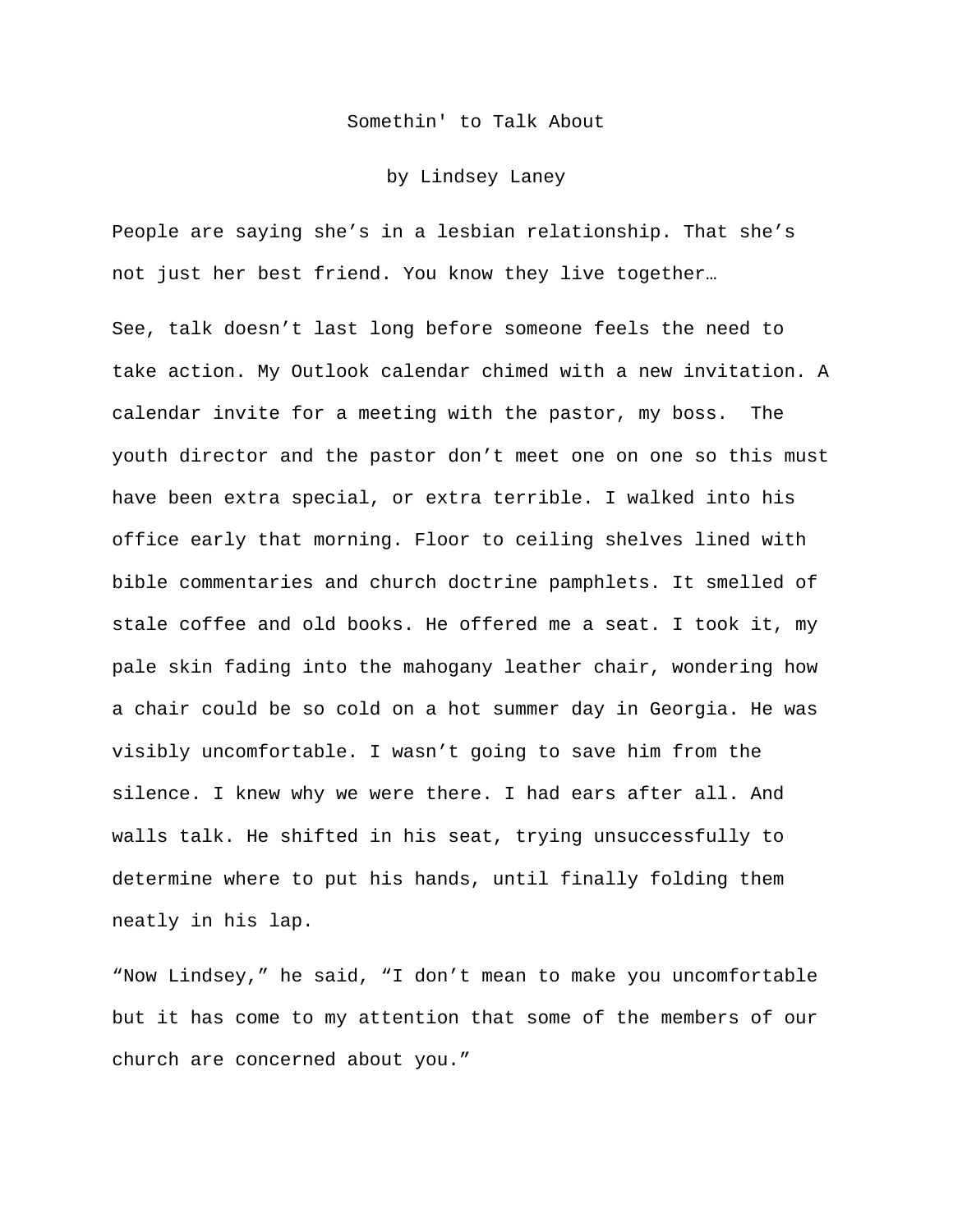## Somethin' to Talk About

## by Lindsey Laney

People are saying she's in a lesbian relationship. That she's not just her best friend. You know they live together…

See, talk doesn't last long before someone feels the need to take action. My Outlook calendar chimed with a new invitation. A calendar invite for a meeting with the pastor, my boss. The youth director and the pastor don't meet one on one so this must have been extra special, or extra terrible. I walked into his office early that morning. Floor to ceiling shelves lined with bible commentaries and church doctrine pamphlets. It smelled of stale coffee and old books. He offered me a seat. I took it, my pale skin fading into the mahogany leather chair, wondering how a chair could be so cold on a hot summer day in Georgia. He was visibly uncomfortable. I wasn't going to save him from the silence. I knew why we were there. I had ears after all. And walls talk. He shifted in his seat, trying unsuccessfully to determine where to put his hands, until finally folding them neatly in his lap.

"Now Lindsey," he said, "I don't mean to make you uncomfortable but it has come to my attention that some of the members of our church are concerned about you."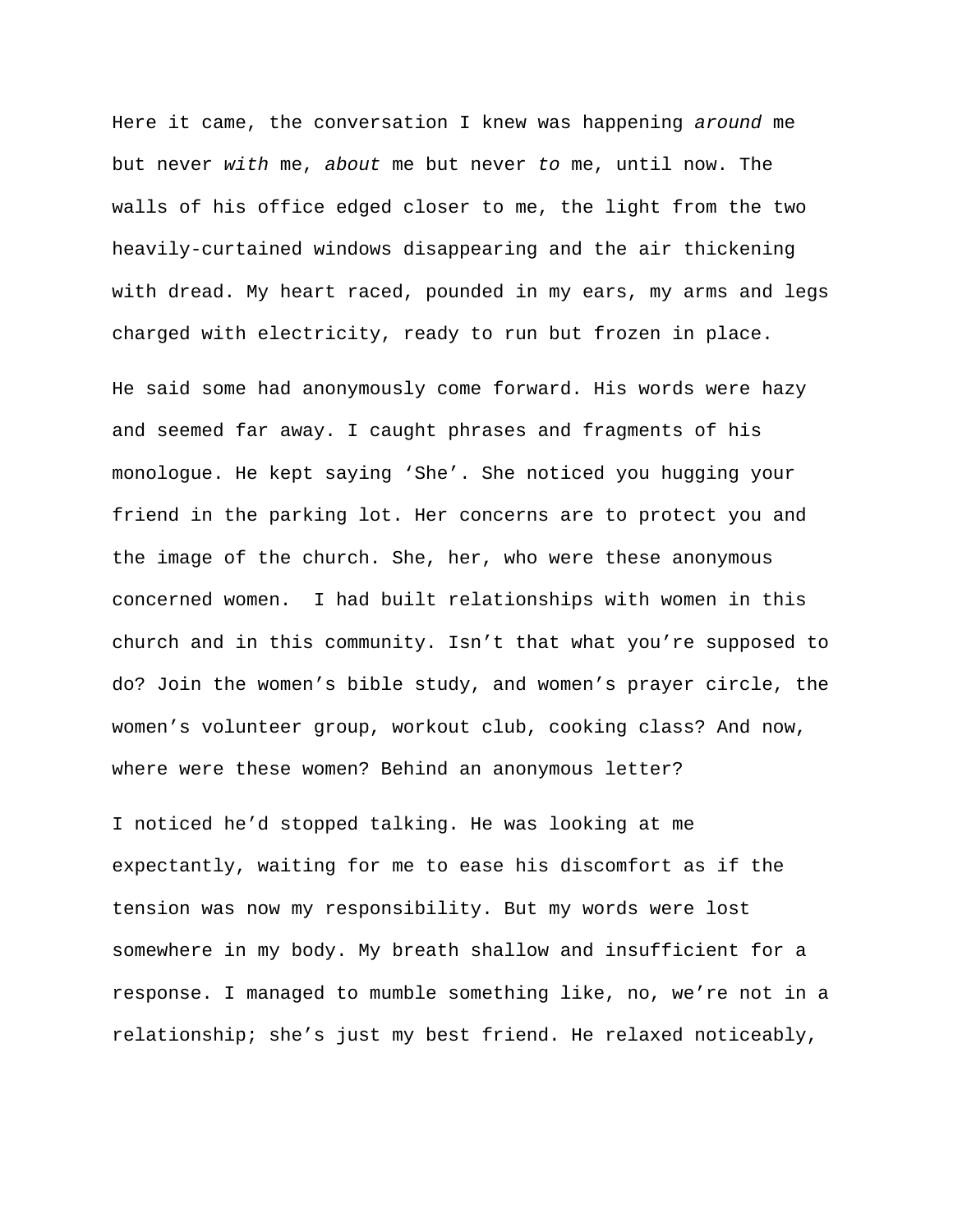Here it came, the conversation I knew was happening *around* me but never *with* me, *about* me but never *to* me, until now. The walls of his office edged closer to me, the light from the two heavily-curtained windows disappearing and the air thickening with dread. My heart raced, pounded in my ears, my arms and legs charged with electricity, ready to run but frozen in place.

He said some had anonymously come forward. His words were hazy and seemed far away. I caught phrases and fragments of his monologue. He kept saying 'She'. She noticed you hugging your friend in the parking lot. Her concerns are to protect you and the image of the church. She, her, who were these anonymous concerned women. I had built relationships with women in this church and in this community. Isn't that what you're supposed to do? Join the women's bible study, and women's prayer circle, the women's volunteer group, workout club, cooking class? And now, where were these women? Behind an anonymous letter?

I noticed he'd stopped talking. He was looking at me expectantly, waiting for me to ease his discomfort as if the tension was now my responsibility. But my words were lost somewhere in my body. My breath shallow and insufficient for a response. I managed to mumble something like, no, we're not in a relationship; she's just my best friend. He relaxed noticeably,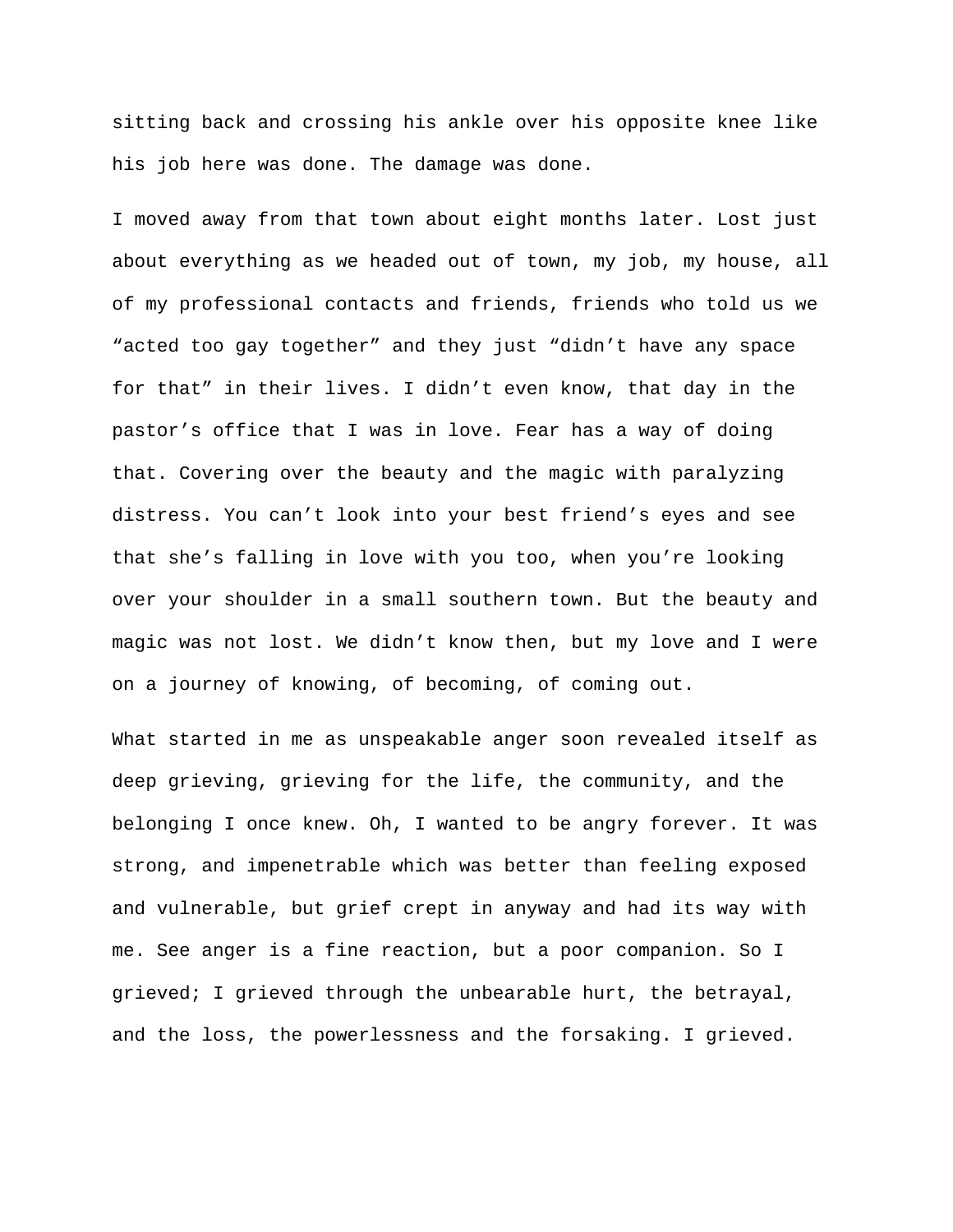sitting back and crossing his ankle over his opposite knee like his job here was done. The damage was done.

I moved away from that town about eight months later. Lost just about everything as we headed out of town, my job, my house, all of my professional contacts and friends, friends who told us we "acted too gay together" and they just "didn't have any space for that" in their lives. I didn't even know, that day in the pastor's office that I was in love. Fear has a way of doing that. Covering over the beauty and the magic with paralyzing distress. You can't look into your best friend's eyes and see that she's falling in love with you too, when you're looking over your shoulder in a small southern town. But the beauty and magic was not lost. We didn't know then, but my love and I were on a journey of knowing, of becoming, of coming out.

What started in me as unspeakable anger soon revealed itself as deep grieving, grieving for the life, the community, and the belonging I once knew. Oh, I wanted to be angry forever. It was strong, and impenetrable which was better than feeling exposed and vulnerable, but grief crept in anyway and had its way with me. See anger is a fine reaction, but a poor companion. So I grieved; I grieved through the unbearable hurt, the betrayal, and the loss, the powerlessness and the forsaking. I grieved.